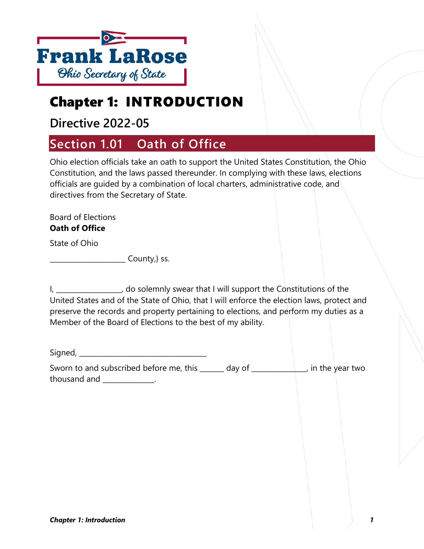

# Chapter 1: INTRODUCTION

## **Directive 2022-05**

# **Section 1.01 Oath of Office**

Ohio election officials take an oath to support the United States Constitution, the Ohio Constitution, and the laws passed thereunder. In complying with these laws, elections officials are guided by a combination of local charters, administrative code, and directives from the Secretary of State.

Board of Elections **Oath of Office**

State of Ohio

\_\_\_\_\_\_\_\_\_\_\_\_\_\_\_\_\_\_\_\_\_\_ County,} ss.

| , do solemnly swear that I will support the Constitutions of the                           |
|--------------------------------------------------------------------------------------------|
| United States and of the State of Ohio, that I will enforce the election laws, protect and |
| preserve the records and property pertaining to elections, and perform my duties as a      |
| Member of the Board of Elections to the best of my ability.                                |

Signed, \_\_\_\_\_\_\_\_\_\_\_\_\_\_\_\_\_\_\_\_\_\_\_\_\_\_\_\_\_\_\_\_\_\_\_\_\_

Sworn to and subscribed before me, this day of the vear two contribution of the year two thousand and \_\_\_\_\_\_\_\_\_\_\_\_\_\_\_.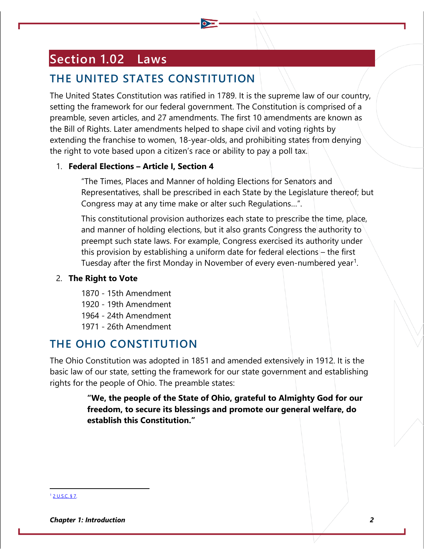# **Section 1.02 Laws**

## **THE UNITED STATES CONSTITUTION**

The United States Constitution was ratified in 1789. It is the supreme law of our country, setting the framework for our federal government. The Constitution is comprised of a preamble, seven articles, and 27 amendments. The first 10 amendments are known as the Bill of Rights. Later amendments helped to shape civil and voting rights by extending the franchise to women, 18-year-olds, and prohibiting states from denying the right to vote based upon a citizen's race or ability to pay a poll tax.

#### 1. **Federal Elections – Article I, Section 4**

"The Times, Places and Manner of holding Elections for Senators and Representatives, shall be prescribed in each State by the Legislature thereof; but Congress may at any time make or alter such Regulations…".

This constitutional provision authorizes each state to prescribe the time, place, and manner of holding elections, but it also grants Congress the authority to preempt such state laws. For example, Congress exercised its authority under this provision by establishing a uniform date for federal elections – the first Tuesday after the first Monday in November of every even-numbered year<sup>[1](#page-1-0)</sup>.

### 2. **The Right to Vote**

- 1870 15th Amendment
- 1920 19th Amendment
- 1964 24th Amendment
- 1971 26th Amendment

### **THE OHIO CONSTITUTION**

The Ohio Constitution was adopted in 1851 and amended extensively in 1912. It is the basic law of our state, setting the framework for our state government and establishing rights for the people of Ohio. The preamble states:

> **"We, the people of the State of Ohio, grateful to Almighty God for our freedom, to secure its blessings and promote our general welfare, do establish this Constitution."**

#### <span id="page-1-0"></span><sup>1</sup> [2 U.S.C. § 7.](https://www.archives.gov/founding-docs/constitution-transcript)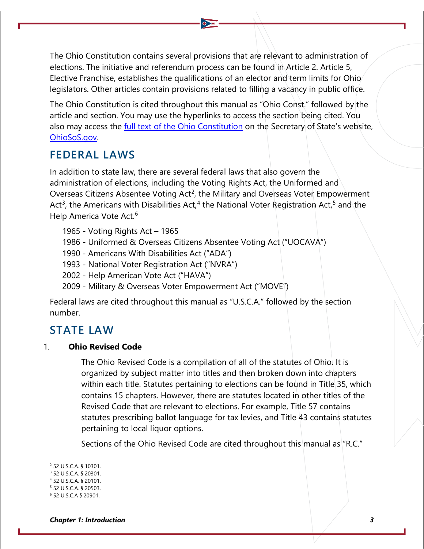The Ohio Constitution contains several provisions that are relevant to administration of elections. The initiative and referendum process can be found in Article 2. Article 5, Elective Franchise, establishes the qualifications of an elector and term limits for Ohio legislators. Other articles contain provisions related to filling a vacancy in public office.

The Ohio Constitution is cited throughout this manual as "Ohio Const." followed by the article and section. You may use the hyperlinks to access the section being cited. You also may access the [full text of the Ohio Constitution](https://www.ohiosos.gov/globalassets/publications/election/constitution.pdf) on the Secretary of State's website, [OhioSoS.gov.](http://www.ohiosos.gov/)

### **FEDERAL LAWS**

In addition to state law, there are several federal laws that also govern the administration of elections, including the Voting Rights Act, the Uniformed and Overseas Citizens Absentee Voting Act<sup>[2](#page-2-0)</sup>, the Military and Overseas Voter Empowerment Act<sup>[3](#page-2-1)</sup>, the Americans with Disabilities Act,<sup>[4](#page-2-2)</sup> the National Voter Registration Act,<sup>[5](#page-2-3)</sup> and the Help America Vote Act.<sup>[6](#page-2-4)</sup>

- 1965 Voting Rights Act 1965
- 1986 Uniformed & Overseas Citizens Absentee Voting Act ("UOCAVA")
- 1990 Americans With Disabilities Act ("ADA")
- 1993 National Voter Registration Act ("NVRA")
- 2002 Help American Vote Act ("HAVA")
- 2009 Military & Overseas Voter Empowerment Act ("MOVE")

Federal laws are cited throughout this manual as "U.S.C.A." followed by the section number.

### **STATE LAW**

#### 1. **Ohio Revised Code**

The Ohio Revised Code is a compilation of all of the statutes of Ohio. It is organized by subject matter into titles and then broken down into chapters within each title. Statutes pertaining to elections can be found in Title 35, which contains 15 chapters. However, there are statutes located in other titles of the Revised Code that are relevant to elections. For example, Title 57 contains statutes prescribing ballot language for tax levies, and Title 43 contains statutes pertaining to local liquor options.

Sections of the Ohio Revised Code are cited throughout this manual as "R.C."

<span id="page-2-0"></span><sup>2</sup> 52 U.S.C.A. § 10301.

<span id="page-2-1"></span><sup>3</sup> 52 U.S.C.A. § 20301.

<span id="page-2-2"></span><sup>4</sup> 52 U.S.C.A. § 20101.

<span id="page-2-3"></span><sup>5</sup> 52 U.S.C.A. § 20503.

<span id="page-2-4"></span><sup>6</sup> 52 U.S.C.A § 20901.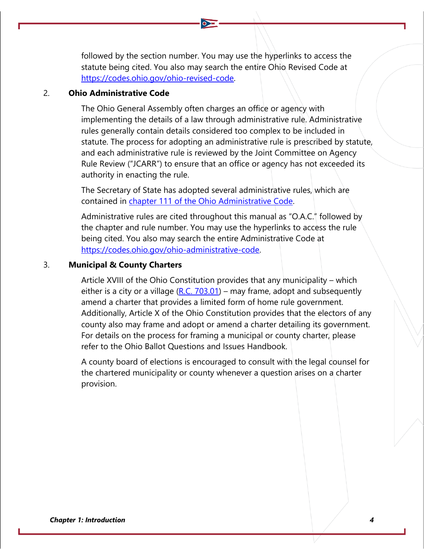followed by the section number. You may use the hyperlinks to access the statute being cited. You also may search the entire Ohio Revised Code at [https://codes.ohio.gov/ohio-revised-code.](https://codes.ohio.gov/ohio-revised-code)

#### 2. **Ohio Administrative Code**

The Ohio General Assembly often charges an office or agency with implementing the details of a law through administrative rule. Administrative rules generally contain details considered too complex to be included in statute. The process for adopting an administrative rule is prescribed by statute, and each administrative rule is reviewed by the Joint Committee on Agency Rule Review ("JCARR") to ensure that an office or agency has not exceeded its authority in enacting the rule.

The Secretary of State has adopted several administrative rules, which are contained in [chapter 111 of the Ohio Administrative Code.](http://codes.ohio.gov/oac/111)

Administrative rules are cited throughout this manual as "O.A.C." followed by the chapter and rule number. You may use the hyperlinks to access the rule being cited. You also may search the entire Administrative Code at [https://codes.ohio.gov/ohio-administrative-code.](https://codes.ohio.gov/ohio-administrative-code)

#### 3. **Municipal & County Charters**

Article XVIII of the Ohio Constitution provides that any municipality – which either is a city or a village  $(R.C. 703.01)$  – may frame, adopt and subsequently amend a charter that provides a limited form of home rule government. Additionally, Article X of the Ohio Constitution provides that the electors of any county also may frame and adopt or amend a charter detailing its government. For details on the process for framing a municipal or county charter, please refer to the Ohio Ballot Questions and Issues Handbook.

A county board of elections is encouraged to consult with the legal counsel for the chartered municipality or county whenever a question arises on a charter provision.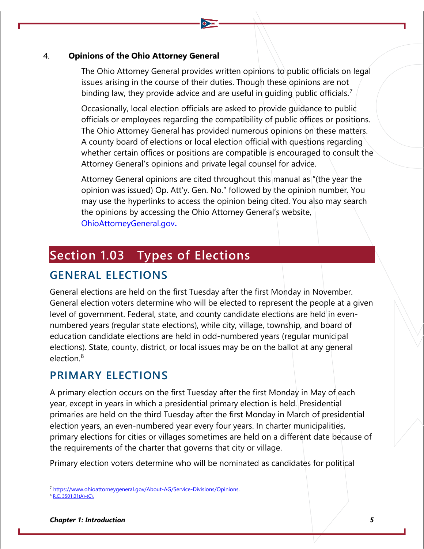#### 4. **Opinions of the Ohio Attorney General**

The Ohio Attorney General provides written opinions to public officials on legal issues arising in the course of their duties. Though these opinions are not binding law, they provide advice and are useful in quiding public officials.<sup>[7](#page-4-0)</sup>

Occasionally, local election officials are asked to provide guidance to public officials or employees regarding the compatibility of public offices or positions. The Ohio Attorney General has provided numerous opinions on these matters. A county board of elections or local election official with questions regarding whether certain offices or positions are compatible is encouraged to consult the Attorney General's opinions and private legal counsel for advice.

Attorney General opinions are cited throughout this manual as "(the year the opinion was issued) Op. Att'y. Gen. No." followed by the opinion number. You may use the hyperlinks to access the opinion being cited. You also may search the opinions by accessing the Ohio Attorney General's website, [OhioAttorneyGeneral.gov](https://www.ohioattorneygeneral.gov/)**[.](https://www.ohioattorneygeneral.gov/)**

## **Section 1.03 Types of Elections**

## **GENERAL ELECTIONS**

General elections are held on the first Tuesday after the first Monday in November. General election voters determine who will be elected to represent the people at a given level of government. Federal, state, and county candidate elections are held in evennumbered years (regular state elections), while city, village, township, and board of education candidate elections are held in odd-numbered years (regular municipal elections). State, county, district, or local issues may be on the ballot at any general election.[8](#page-4-1)

### **PRIMARY ELECTIONS**

A primary election occurs on the first Tuesday after the first Monday in May of each year, except in years in which a presidential primary election is held. Presidential primaries are held on the third Tuesday after the first Monday in March of presidential election years, an even-numbered year every four years. In charter municipalities, primary elections for cities or villages sometimes are held on a different date because of the requirements of the charter that governs that city or village.

Primary election voters determine who will be nominated as candidates for political

<span id="page-4-0"></span><sup>&</sup>lt;sup>7</sup> [https://www.ohioattorneygeneral.gov/About-AG/Service-Divisions/Opinions.](https://www.ohioattorneygeneral.gov/About-AG/Service-Divisions/Opinions)

<span id="page-4-1"></span>[R.C. 3501.01\(A\)-\(C\).](http://codes.ohio.gov/orc/3501.01)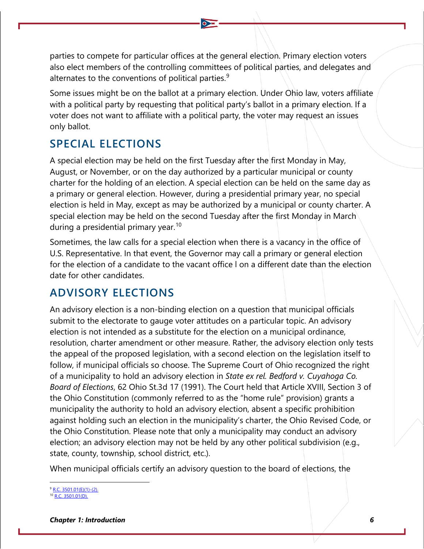parties to compete for particular offices at the general election. Primary election voters also elect members of the controlling committees of political parties, and delegates and alternates to the conventions of political parties.<sup>[9](#page-5-0)</sup>

Some issues might be on the ballot at a primary election. Under Ohio law, voters affiliate with a political party by requesting that political party's ballot in a primary election. If a voter does not want to affiliate with a political party, the voter may request an issues only ballot.

### **SPECIAL ELECTIONS**

A special election may be held on the first Tuesday after the first Monday in May, August, or November, or on the day authorized by a particular municipal or county charter for the holding of an election. A special election can be held on the same day as a primary or general election. However, during a presidential primary year, no special election is held in May, except as may be authorized by a municipal or county charter. A special election may be held on the second Tuesday after the first Monday in March during a presidential primary year.<sup>[10](#page-5-1)</sup>

Sometimes, the law calls for a special election when there is a vacancy in the office of U.S. Representative. In that event, the Governor may call a primary or general election for the election of a candidate to the vacant office l on a different date than the election date for other candidates.

### **ADVISORY ELECTIONS**

An advisory election is a non-binding election on a question that municipal officials submit to the electorate to gauge voter attitudes on a particular topic. An advisory election is not intended as a substitute for the election on a municipal ordinance, resolution, charter amendment or other measure. Rather, the advisory election only tests the appeal of the proposed legislation, with a second election on the legislation itself to follow, if municipal officials so choose. The Supreme Court of Ohio recognized the right of a municipality to hold an advisory election in *State ex rel. Bedford v. Cuyahoga Co. Board of Elections*, 62 Ohio St.3d 17 (1991). The Court held that Article XVIII, Section 3 of the Ohio Constitution (commonly referred to as the "home rule" provision) grants a municipality the authority to hold an advisory election, absent a specific prohibition against holding such an election in the municipality's charter, the Ohio Revised Code, or the Ohio Constitution. Please note that only a municipality may conduct an advisory election; an advisory election may not be held by any other political subdivision (e.g., state, county, township, school district, etc.).

When municipal officials certify an advisory question to the board of elections, the

<span id="page-5-0"></span><sup>9</sup> [R.C. 3501.01\(E\)\(1\)-\(2\).](http://codes.ohio.gov/orc/3501.01)

<span id="page-5-1"></span>[R.C. 3501.01\(D\).](http://codes.ohio.gov/orc/3501.01)